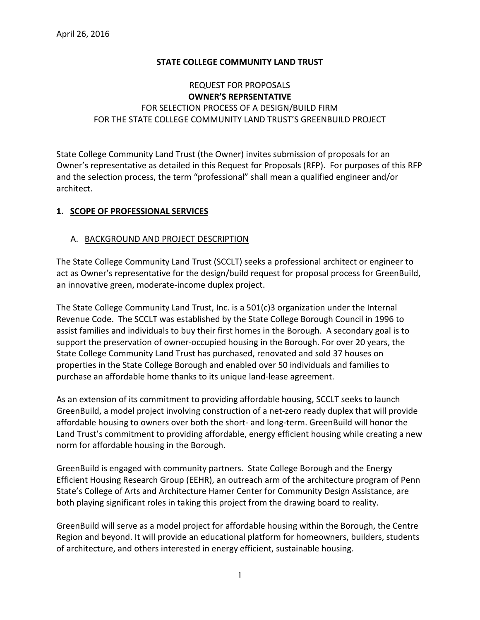## **STATE COLLEGE COMMUNITY LAND TRUST**

# REQUEST FOR PROPOSALS **OWNER'S REPRSENTATIVE** FOR SELECTION PROCESS OF A DESIGN/BUILD FIRM FOR THE STATE COLLEGE COMMUNITY LAND TRUST'S GREENBUILD PROJECT

State College Community Land Trust (the Owner) invites submission of proposals for an Owner's representative as detailed in this Request for Proposals (RFP). For purposes of this RFP and the selection process, the term "professional" shall mean a qualified engineer and/or architect.

## **1. SCOPE OF PROFESSIONAL SERVICES**

## A. BACKGROUND AND PROJECT DESCRIPTION

The State College Community Land Trust (SCCLT) seeks a professional architect or engineer to act as Owner's representative for the design/build request for proposal process for GreenBuild, an innovative green, moderate-income duplex project.

The State College Community Land Trust, Inc. is a 501(c)3 organization under the Internal Revenue Code. The SCCLT was established by the State College Borough Council in 1996 to assist families and individuals to buy their first homes in the Borough. A secondary goal is to support the preservation of owner-occupied housing in the Borough. For over 20 years, the State College Community Land Trust has purchased, renovated and sold 37 houses on properties in the State College Borough and enabled over 50 individuals and families to purchase an affordable home thanks to its unique land-lease agreement.

As an extension of its commitment to providing affordable housing, SCCLT seeks to launch GreenBuild, a model project involving construction of a net-zero ready duplex that will provide affordable housing to owners over both the short- and long-term. GreenBuild will honor the Land Trust's commitment to providing affordable, energy efficient housing while creating a new norm for affordable housing in the Borough.

GreenBuild is engaged with community partners. State College Borough and the Energy Efficient Housing Research Group (EEHR), an outreach arm of the architecture program of Penn State's College of Arts and Architecture Hamer Center for Community Design Assistance, are both playing significant roles in taking this project from the drawing board to reality.

GreenBuild will serve as a model project for affordable housing within the Borough, the Centre Region and beyond. It will provide an educational platform for homeowners, builders, students of architecture, and others interested in energy efficient, sustainable housing.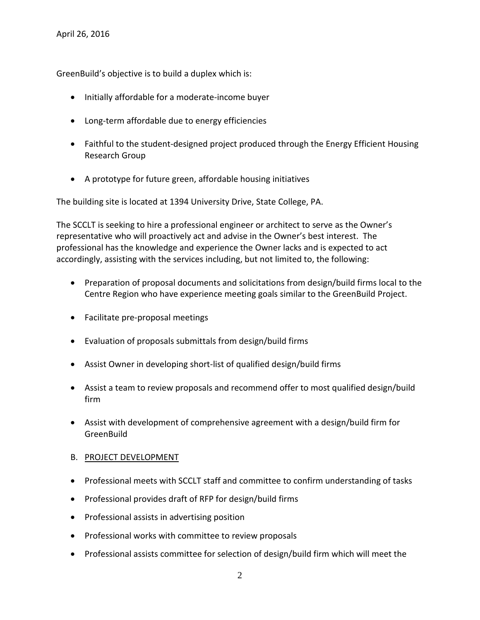GreenBuild's objective is to build a duplex which is:

- Initially affordable for a moderate-income buyer
- Long-term affordable due to energy efficiencies
- Faithful to the student-designed project produced through the Energy Efficient Housing Research Group
- A prototype for future green, affordable housing initiatives

The building site is located at 1394 University Drive, State College, PA.

The SCCLT is seeking to hire a professional engineer or architect to serve as the Owner's representative who will proactively act and advise in the Owner's best interest. The professional has the knowledge and experience the Owner lacks and is expected to act accordingly, assisting with the services including, but not limited to, the following:

- Preparation of proposal documents and solicitations from design/build firms local to the Centre Region who have experience meeting goals similar to the GreenBuild Project.
- Facilitate pre-proposal meetings
- Evaluation of proposals submittals from design/build firms
- Assist Owner in developing short-list of qualified design/build firms
- Assist a team to review proposals and recommend offer to most qualified design/build firm
- Assist with development of comprehensive agreement with a design/build firm for **GreenBuild**

### B. PROJECT DEVELOPMENT

- Professional meets with SCCLT staff and committee to confirm understanding of tasks
- Professional provides draft of RFP for design/build firms
- Professional assists in advertising position
- Professional works with committee to review proposals
- Professional assists committee for selection of design/build firm which will meet the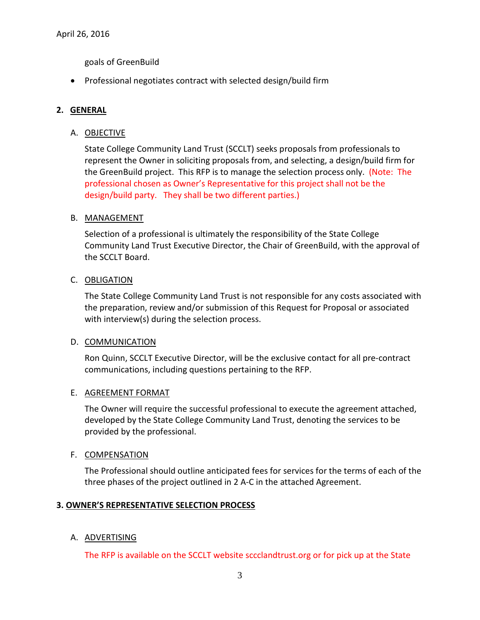goals of GreenBuild

• Professional negotiates contract with selected design/build firm

## **2. GENERAL**

### A. OBJECTIVE

State College Community Land Trust (SCCLT) seeks proposals from professionals to represent the Owner in soliciting proposals from, and selecting, a design/build firm for the GreenBuild project. This RFP is to manage the selection process only. (Note: The professional chosen as Owner's Representative for this project shall not be the design/build party. They shall be two different parties.)

### B. MANAGEMENT

Selection of a professional is ultimately the responsibility of the State College Community Land Trust Executive Director, the Chair of GreenBuild, with the approval of the SCCLT Board.

### C. OBLIGATION

The State College Community Land Trust is not responsible for any costs associated with the preparation, review and/or submission of this Request for Proposal or associated with interview(s) during the selection process.

### D. COMMUNICATION

Ron Quinn, SCCLT Executive Director, will be the exclusive contact for all pre-contract communications, including questions pertaining to the RFP.

### E. AGREEMENT FORMAT

The Owner will require the successful professional to execute the agreement attached, developed by the State College Community Land Trust, denoting the services to be provided by the professional.

### F. COMPENSATION

The Professional should outline anticipated fees for services for the terms of each of the three phases of the project outlined in 2 A-C in the attached Agreement.

### **3. OWNER'S REPRESENTATIVE SELECTION PROCESS**

### A. ADVERTISING

The RFP is available on the SCCLT website sccclandtrust.org or for pick up at the State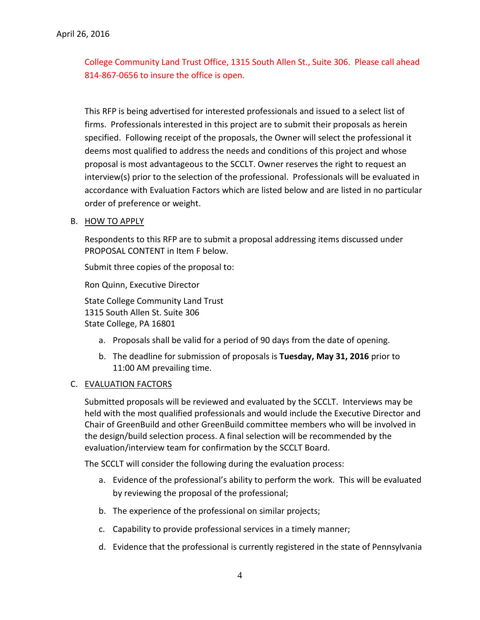College Community Land Trust Office, 1315 South Allen St., Suite 306. Please call ahead 814-867-0656 to insure the office is open.

This RFP is being advertised for interested professionals and issued to a select list of firms. Professionals interested in this project are to submit their proposals as herein specified. Following receipt of the proposals, the Owner will select the professional it deems most qualified to address the needs and conditions of this project and whose proposal is most advantageous to the SCCLT. Owner reserves the right to request an interview(s) prior to the selection of the professional. Professionals will be evaluated in accordance with Evaluation Factors which are listed below and are listed in no particular order of preference or weight.

### B. HOW TO APPLY

Respondents to this RFP are to submit a proposal addressing items discussed under PROPOSAL CONTENT in Item F below.

Submit three copies of the proposal to:

Ron Quinn, Executive Director

State College Community Land Trust 1315 South Allen St. Suite 306 State College, PA 16801

- a. Proposals shall be valid for a period of 90 days from the date of opening.
- b. The deadline for submission of proposals is **Tuesday, May 31, 2016** prior to 11:00 AM prevailing time.

### C. EVALUATION FACTORS

Submitted proposals will be reviewed and evaluated by the SCCLT. Interviews may be held with the most qualified professionals and would include the Executive Director and Chair of GreenBuild and other GreenBuild committee members who will be involved in the design/build selection process. A final selection will be recommended by the evaluation/interview team for confirmation by the SCCLT Board.

The SCCLT will consider the following during the evaluation process:

- a. Evidence of the professional's ability to perform the work. This will be evaluated by reviewing the proposal of the professional;
- b. The experience of the professional on similar projects;
- c. Capability to provide professional services in a timely manner;
- d. Evidence that the professional is currently registered in the state of Pennsylvania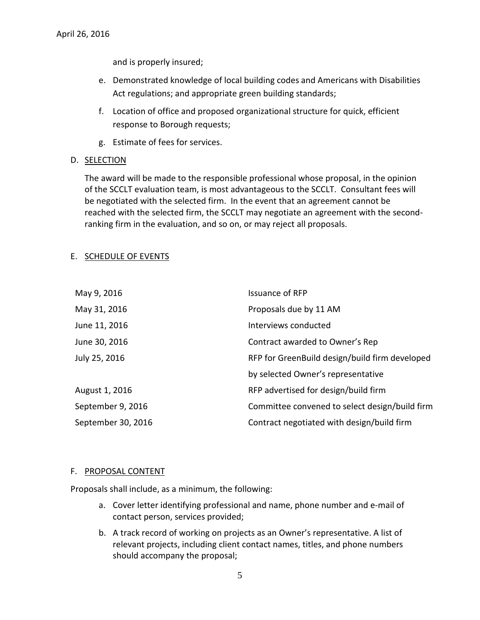and is properly insured;

- e. Demonstrated knowledge of local building codes and Americans with Disabilities Act regulations; and appropriate green building standards;
- f. Location of office and proposed organizational structure for quick, efficient response to Borough requests;
- g. Estimate of fees for services.
- D. SELECTION

The award will be made to the responsible professional whose proposal, in the opinion of the SCCLT evaluation team, is most advantageous to the SCCLT. Consultant fees will be negotiated with the selected firm. In the event that an agreement cannot be reached with the selected firm, the SCCLT may negotiate an agreement with the secondranking firm in the evaluation, and so on, or may reject all proposals.

#### E. SCHEDULE OF EVENTS

| May 9, 2016        | <b>Issuance of RFP</b>                         |
|--------------------|------------------------------------------------|
| May 31, 2016       | Proposals due by 11 AM                         |
| June 11, 2016      | Interviews conducted                           |
| June 30, 2016      | Contract awarded to Owner's Rep                |
| July 25, 2016      | RFP for GreenBuild design/build firm developed |
|                    | by selected Owner's representative             |
| August 1, 2016     | RFP advertised for design/build firm           |
| September 9, 2016  | Committee convened to select design/build firm |
| September 30, 2016 | Contract negotiated with design/build firm     |

#### F. PROPOSAL CONTENT

Proposals shall include, as a minimum, the following:

- a. Cover letter identifying professional and name, phone number and e-mail of contact person, services provided;
- b. A track record of working on projects as an Owner's representative. A list of relevant projects, including client contact names, titles, and phone numbers should accompany the proposal;